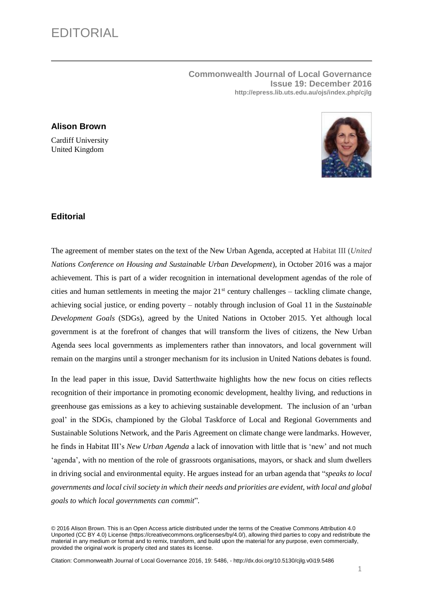**Commonwealth Journal of Local Governance Issue 19: December 2016 http://epress.lib.uts.edu.au/ojs/index.php/cjlg**

## **Alison Brown**

Cardiff University United Kingdom



## **Editorial**

The agreement of member states on the text of the New Urban Agenda, accepted at Habitat III (*United Nations Conference on Housing and Sustainable Urban Development*), in October 2016 was a major achievement. This is part of a wider recognition in international development agendas of the role of cities and human settlements in meeting the major  $21<sup>st</sup>$  century challenges – tackling climate change, achieving social justice, or ending poverty – notably through inclusion of Goal 11 in the *Sustainable Development Goals* (SDGs)*,* agreed by the United Nations in October 2015. Yet although local government is at the forefront of changes that will transform the lives of citizens, the New Urban Agenda sees local governments as implementers rather than innovators, and local government will remain on the margins until a stronger mechanism for its inclusion in United Nations debates is found.

In the lead paper in this issue, David Satterthwaite highlights how the new focus on cities reflects recognition of their importance in promoting economic development, healthy living, and reductions in greenhouse gas emissions as a key to achieving sustainable development. The inclusion of an 'urban goal' in the SDGs, championed by the Global Taskforce of Local and Regional Governments and Sustainable Solutions Network, and the Paris Agreement on climate change were landmarks. However, he finds in Habitat III's *New Urban Agenda* a lack of innovation with little that is 'new' and not much 'agenda', with no mention of the role of grassroots organisations, mayors, or shack and slum dwellers in driving social and environmental equity. He argues instead for an urban agenda that "*speaks to local governments and local civil society in which their needs and priorities are evident, with local and global goals to which local governments can commit*"*.* 

© 2016 Alison Brown. This is an Open Access article distributed under the terms of the Creative Commons Attribution 4.0 Unported (CC BY 4.0) License (https://creativecommons.org/licenses/by/4.0/), allowing third parties to copy and redistribute the material in any medium or format and to remix, transform, and build upon the material for any purpose, even commercially, provided the original work is properly cited and states its license.

Citation: Commonwealth Journal of Local Governance 2016, 19: 5486, - <http://dx.doi.org/10.5130/cjlg.v0i19.5486>